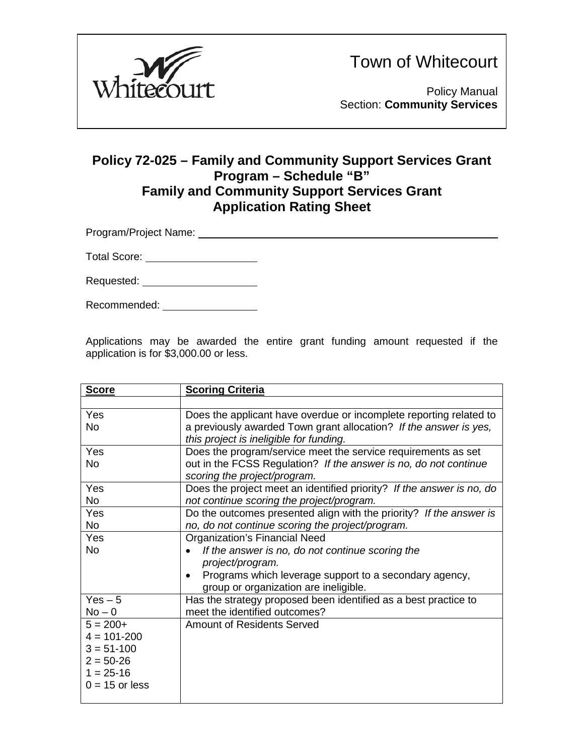

Town of Whitecourt

Policy Manual Section: **Community Services**

### **Policy 72-025 – Family and Community Support Services Grant Program – Schedule "B" Family and Community Support Services Grant Application Rating Sheet**

Program/Project Name:

Total Score: William Control Control Control Control Control Control Control Control Control Control Control Co

Requested:

Recommended:

Applications may be awarded the entire grant funding amount requested if the application is for \$3,000.00 or less.

| <b>Score</b>     | <b>Scoring Criteria</b>                                               |
|------------------|-----------------------------------------------------------------------|
|                  |                                                                       |
| Yes              | Does the applicant have overdue or incomplete reporting related to    |
| <b>No</b>        | a previously awarded Town grant allocation? If the answer is yes,     |
|                  | this project is ineligible for funding.                               |
| Yes              | Does the program/service meet the service requirements as set         |
| <b>No</b>        | out in the FCSS Regulation? If the answer is no, do not continue      |
|                  | scoring the project/program.                                          |
| Yes              | Does the project meet an identified priority? If the answer is no, do |
| <b>No</b>        | not continue scoring the project/program.                             |
| Yes              | Do the outcomes presented align with the priority? If the answer is   |
| No               | no, do not continue scoring the project/program.                      |
| Yes              | <b>Organization's Financial Need</b>                                  |
| <b>No</b>        | If the answer is no, do not continue scoring the                      |
|                  | project/program.                                                      |
|                  | Programs which leverage support to a secondary agency,                |
|                  | group or organization are ineligible.                                 |
| $Yes - 5$        | Has the strategy proposed been identified as a best practice to       |
| $No - 0$         | meet the identified outcomes?                                         |
| $5 = 200+$       | <b>Amount of Residents Served</b>                                     |
| $4 = 101 - 200$  |                                                                       |
| $3 = 51 - 100$   |                                                                       |
| $2 = 50 - 26$    |                                                                       |
| $1 = 25 - 16$    |                                                                       |
| $0 = 15$ or less |                                                                       |
|                  |                                                                       |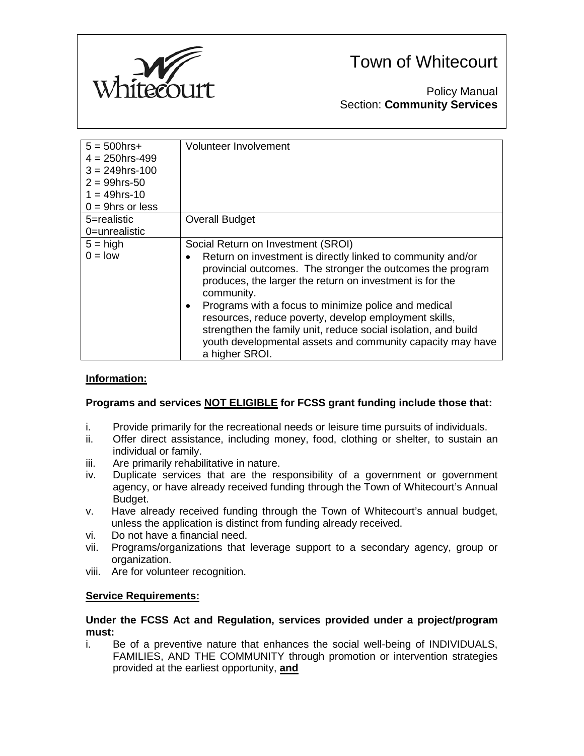

# Town of Whitecourt

Policy Manual Section: **Community Services**

| $5 = 500$ hrs+<br>$4 = 250$ hrs-499<br>$3 = 249$ hrs-100<br>$2 = 99$ hrs-50<br>$1 = 49$ hrs-10<br>$0 = 9$ hrs or less | Volunteer Involvement                                                                                                                                                                                                                                                                                                                                                                                                                                                                                        |
|-----------------------------------------------------------------------------------------------------------------------|--------------------------------------------------------------------------------------------------------------------------------------------------------------------------------------------------------------------------------------------------------------------------------------------------------------------------------------------------------------------------------------------------------------------------------------------------------------------------------------------------------------|
| 5=realistic<br>0=unrealistic                                                                                          | <b>Overall Budget</b>                                                                                                                                                                                                                                                                                                                                                                                                                                                                                        |
| $5 = high$<br>$0 =$ low                                                                                               | Social Return on Investment (SROI)<br>Return on investment is directly linked to community and/or<br>provincial outcomes. The stronger the outcomes the program<br>produces, the larger the return on investment is for the<br>community.<br>Programs with a focus to minimize police and medical<br>resources, reduce poverty, develop employment skills,<br>strengthen the family unit, reduce social isolation, and build<br>youth developmental assets and community capacity may have<br>a higher SROI. |

### **Information:**

#### **Programs and services NOT ELIGIBLE for FCSS grant funding include those that:**

- i. Provide primarily for the recreational needs or leisure time pursuits of individuals.
- ii. Offer direct assistance, including money, food, clothing or shelter, to sustain an individual or family.
- iii. Are primarily rehabilitative in nature.
- iv. Duplicate services that are the responsibility of a government or government agency, or have already received funding through the Town of Whitecourt's Annual Budget.
- v. Have already received funding through the Town of Whitecourt's annual budget, unless the application is distinct from funding already received.
- vi. Do not have a financial need.
- vii. Programs/organizations that leverage support to a secondary agency, group or organization.
- viii. Are for volunteer recognition.

#### **Service Requirements:**

#### **Under the FCSS Act and Regulation, services provided under a project/program must:**

i. Be of a preventive nature that enhances the social well-being of INDIVIDUALS, FAMILIES, AND THE COMMUNITY through promotion or intervention strategies provided at the earliest opportunity, **and**